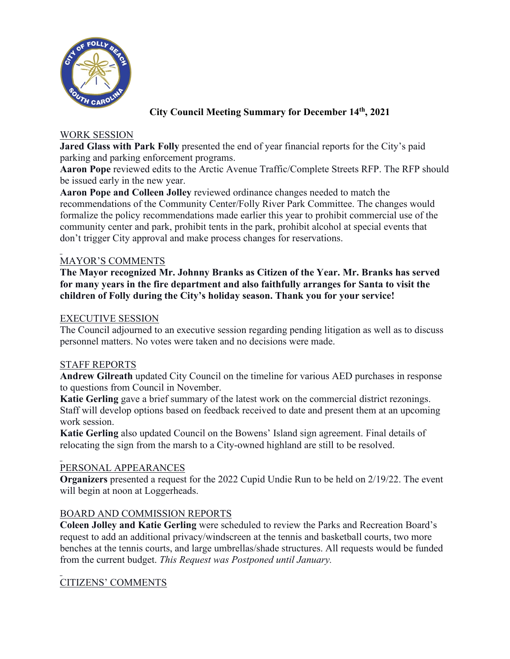

# **City Council Meeting Summary for December 14th, 2021**

### WORK SESSION

**Jared Glass with Park Folly** presented the end of year financial reports for the City's paid parking and parking enforcement programs.

**Aaron Pope** reviewed edits to the Arctic Avenue Traffic/Complete Streets RFP. The RFP should be issued early in the new year.

**Aaron Pope and Colleen Jolley** reviewed ordinance changes needed to match the recommendations of the Community Center/Folly River Park Committee. The changes would formalize the policy recommendations made earlier this year to prohibit commercial use of the community center and park, prohibit tents in the park, prohibit alcohol at special events that don't trigger City approval and make process changes for reservations.

## MAYOR'S COMMENTS

**The Mayor recognized Mr. Johnny Branks as Citizen of the Year. Mr. Branks has served for many years in the fire department and also faithfully arranges for Santa to visit the children of Folly during the City's holiday season. Thank you for your service!**

#### EXECUTIVE SESSION

The Council adjourned to an executive session regarding pending litigation as well as to discuss personnel matters. No votes were taken and no decisions were made.

#### STAFF REPORTS

**Andrew Gilreath** updated City Council on the timeline for various AED purchases in response to questions from Council in November.

**Katie Gerling** gave a brief summary of the latest work on the commercial district rezonings. Staff will develop options based on feedback received to date and present them at an upcoming work session.

**Katie Gerling** also updated Council on the Bowens' Island sign agreement. Final details of relocating the sign from the marsh to a City-owned highland are still to be resolved.

#### PERSONAL APPEARANCES

**Organizers** presented a request for the 2022 Cupid Undie Run to be held on 2/19/22. The event will begin at noon at Loggerheads.

#### BOARD AND COMMISSION REPORTS

**Coleen Jolley and Katie Gerling** were scheduled to review the Parks and Recreation Board's request to add an additional privacy/windscreen at the tennis and basketball courts, two more benches at the tennis courts, and large umbrellas/shade structures. All requests would be funded from the current budget. *This Request was Postponed until January.*

## CITIZENS' COMMENTS